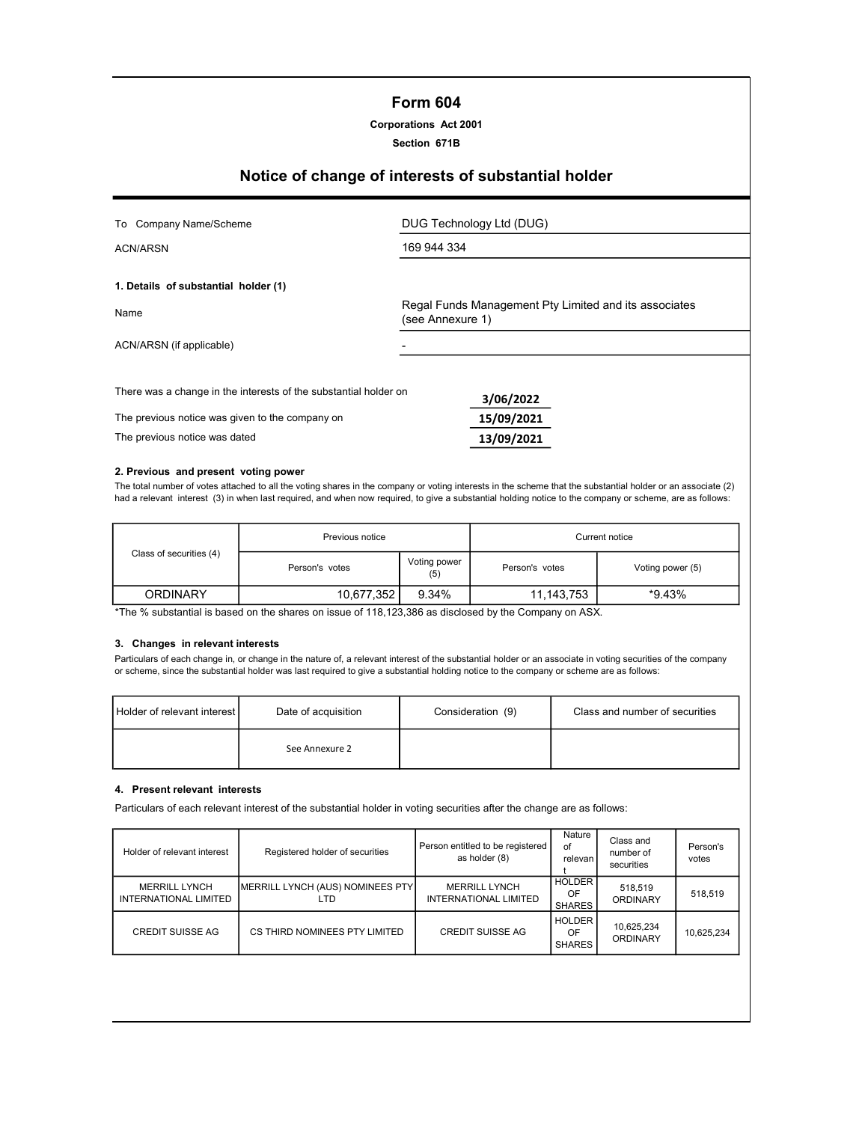# Form 604

| <b>Corporations Act 2001</b> |  |
|------------------------------|--|
|------------------------------|--|

Section 671B

# Notice of change of interests of substantial holder

| To Company Name/Scheme                                           | DUG Technology Ltd (DUG)                                                  |
|------------------------------------------------------------------|---------------------------------------------------------------------------|
| ACN/ARSN                                                         | 169 944 334                                                               |
|                                                                  |                                                                           |
| 1. Details of substantial holder (1)                             |                                                                           |
| Name                                                             | Regal Funds Management Pty Limited and its associates<br>(see Annexure 1) |
| ACN/ARSN (if applicable)                                         |                                                                           |
|                                                                  |                                                                           |
| There was a change in the interests of the substantial holder on | 3/06/2022                                                                 |
| The previous notice was given to the company on                  | 15/09/2021                                                                |
| The previous notice was dated                                    | 13/09/2021                                                                |

#### 2. Previous and present voting power

The total number of votes attached to all the voting shares in the company or voting interests in the scheme that the substantial holder or an associate (2) had a relevant interest (3) in when last required, and when now required, to give a substantial holding notice to the company or scheme, are as follows:

|                         | Previous notice                       |       | Current notice                     |        |  |
|-------------------------|---------------------------------------|-------|------------------------------------|--------|--|
| Class of securities (4) | Voting power<br>Person's votes<br>(5) |       | Voting power (5)<br>Person's votes |        |  |
| <b>ORDINARY</b>         | 10,677,352                            | 9.34% | 11,143,753                         | *9.43% |  |

\*The % substantial is based on the shares on issue of 118,123,386 as disclosed by the Company on ASX.

### 3. Changes in relevant interests

Particulars of each change in, or change in the nature of, a relevant interest of the substantial holder or an associate in voting securities of the company or scheme, since the substantial holder was last required to give a substantial holding notice to the company or scheme are as follows:

| Holder of relevant interest | Date of acquisition | Consideration (9) | Class and number of securities |
|-----------------------------|---------------------|-------------------|--------------------------------|
|                             | See Annexure 2      |                   |                                |

#### 4. Present relevant interests

Particulars of each relevant interest of the substantial holder in voting securities after the change are as follows:

| Holder of relevant interest                   | Registered holder of securities         | Person entitled to be registered<br>as holder (8)    | Nature<br>of<br>relevan I            | Class and<br>number of<br>securities | Person's<br>votes |
|-----------------------------------------------|-----------------------------------------|------------------------------------------------------|--------------------------------------|--------------------------------------|-------------------|
| <b>MERRILL LYNCH</b><br>INTERNATIONAL LIMITED | MERRILL LYNCH (AUS) NOMINEES PTY<br>LTD | <b>MERRILL LYNCH</b><br><b>INTERNATIONAL LIMITED</b> | <b>HOLDER</b><br>OF<br><b>SHARES</b> | 518,519<br><b>ORDINARY</b>           | 518.519           |
| <b>CREDIT SUISSE AG</b>                       | CS THIRD NOMINEES PTY LIMITED           | <b>CREDIT SUISSE AG</b>                              | HOLDER<br>OF<br><b>SHARES</b>        | 10,625,234<br>ORDINARY               | 10,625,234        |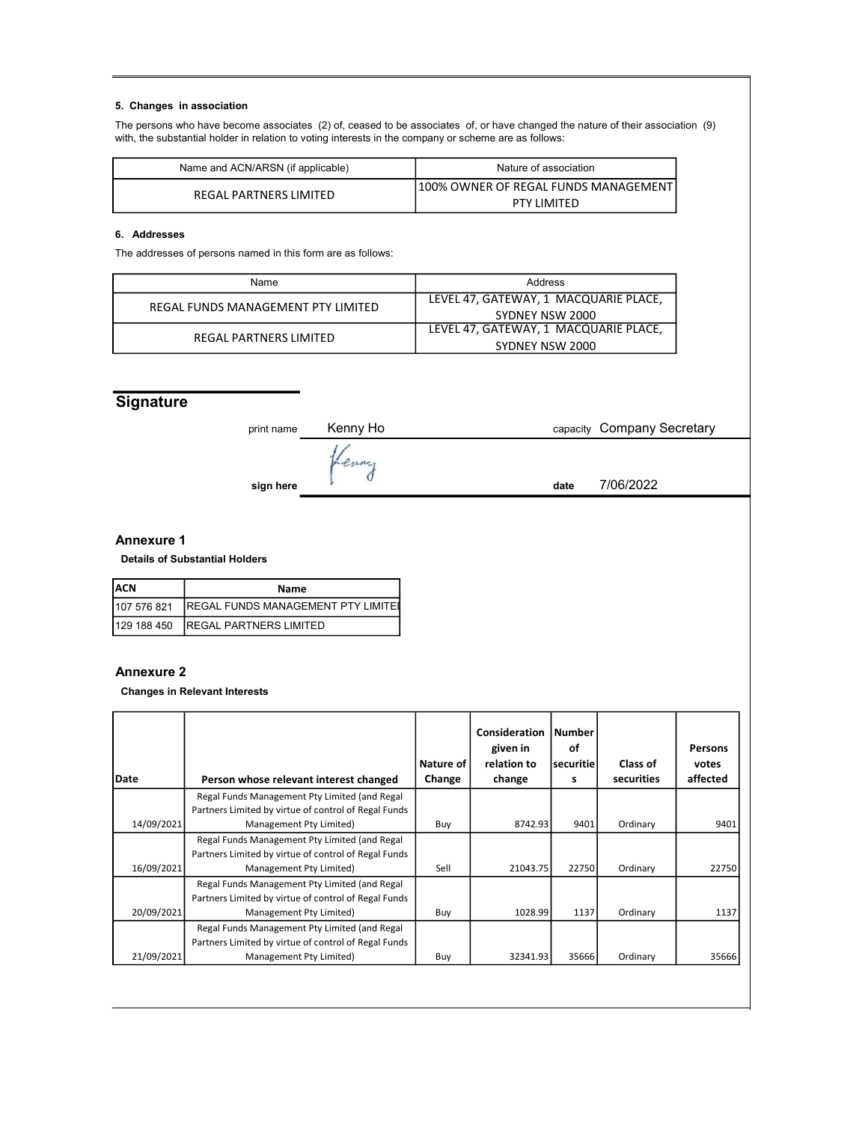## 5. Changes in association

The persons who have become associates (2) of, ceased to be associates of, or have changed the nature of their association (9) with, the substantial holder in relation to voting interests in the company or scheme are as follows:

| Name and ACN/ARSN (if applicable) | Nature of association                  |
|-----------------------------------|----------------------------------------|
| REGAL PARTNERS LIMITED            | 1100% OWNER OF REGAL FUNDS MANAGEMENTI |
|                                   | <b>PTY LIMITED</b>                     |

## 6. Addresses

The addresses of persons named in this form are as follows:

| Name                               | Address                               |
|------------------------------------|---------------------------------------|
| REGAL FUNDS MANAGEMENT PTY LIMITED | LEVEL 47, GATEWAY, 1 MACQUARIE PLACE, |
|                                    | SYDNEY NSW 2000                       |
| REGAL PARTNERS LIMITED             | LEVEL 47, GATEWAY, 1 MACQUARIE PLACE, |
|                                    | SYDNEY NSW 2000                       |

# **Signature**

| print name | Kenny Ho | capacity Company Secretary |
|------------|----------|----------------------------|
| sign here  |          | 7/06/2022<br>date          |
|            |          |                            |

## Annexure 1

Details of Substantial Holders

| IACN         | Name                                       |
|--------------|--------------------------------------------|
| 1107 576 821 | <b>IREGAL FUNDS MANAGEMENT PTY LIMITED</b> |
| 1129 188 450 | <b>IREGAL PARTNERS LIMITED</b>             |

## Annexure 2

Changes in Relevant Interests

| Date       | Person whose relevant interest changed               | Nature of<br>Change | Consideration<br>given in<br>relation to<br>change | <b>Number</b><br>οf<br><b>securitie</b><br>s | Class of<br>securities | Persons<br>votes<br>affected |
|------------|------------------------------------------------------|---------------------|----------------------------------------------------|----------------------------------------------|------------------------|------------------------------|
|            | Regal Funds Management Pty Limited (and Regal        |                     |                                                    |                                              |                        |                              |
|            | Partners Limited by virtue of control of Regal Funds |                     |                                                    |                                              |                        |                              |
| 14/09/2021 | Management Pty Limited)                              | Buy                 | 8742.93                                            | 9401                                         | Ordinary               | 9401                         |
|            | Regal Funds Management Pty Limited (and Regal        |                     |                                                    |                                              |                        |                              |
|            | Partners Limited by virtue of control of Regal Funds |                     |                                                    |                                              |                        |                              |
| 16/09/2021 | Management Pty Limited)                              | Sell                | 21043.75                                           | 22750                                        | Ordinary               | 22750                        |
|            | Regal Funds Management Pty Limited (and Regal        |                     |                                                    |                                              |                        |                              |
|            | Partners Limited by virtue of control of Regal Funds |                     |                                                    |                                              |                        |                              |
| 20/09/2021 | Management Pty Limited)                              | Buy                 | 1028.99                                            | 1137                                         | Ordinary               | 1137                         |
|            | Regal Funds Management Pty Limited (and Regal        |                     |                                                    |                                              |                        |                              |
|            | Partners Limited by virtue of control of Regal Funds |                     |                                                    |                                              |                        |                              |
| 21/09/2021 | Management Pty Limited)                              | Buy                 | 32341.93                                           | 35666                                        | Ordinary               | 35666                        |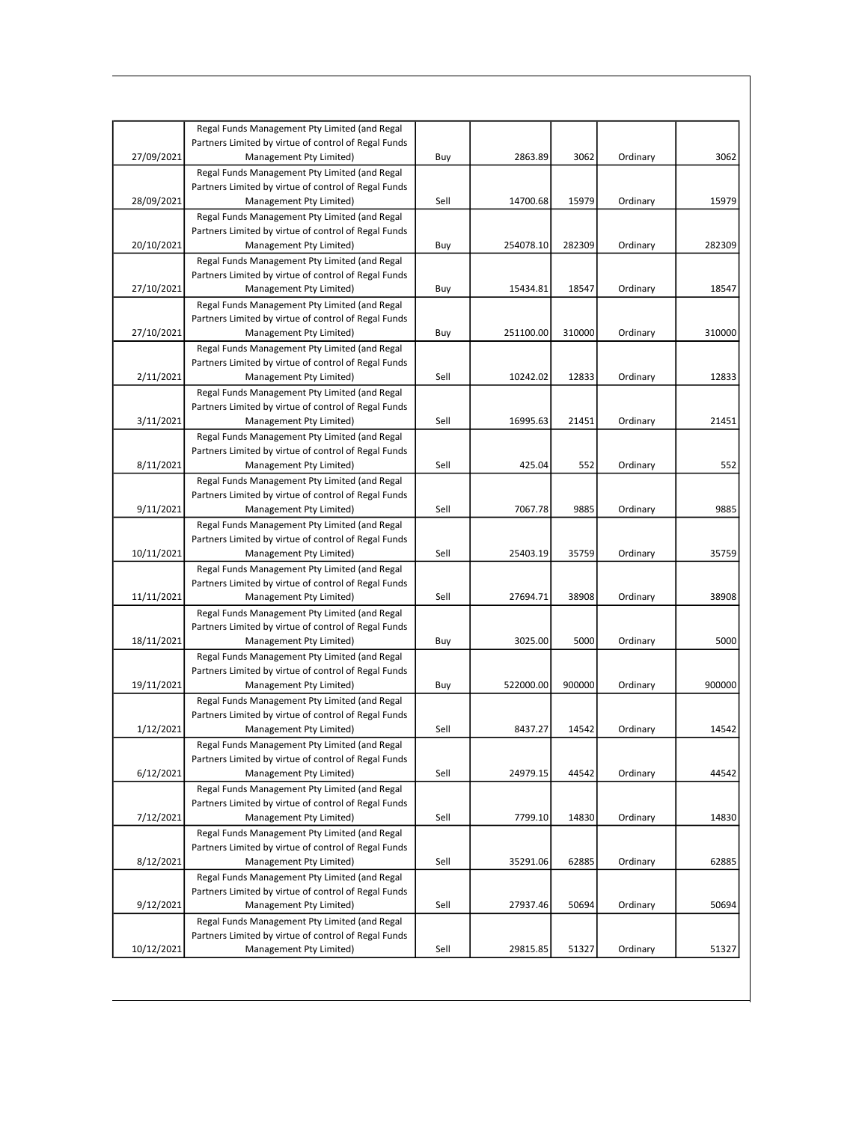|            | Regal Funds Management Pty Limited (and Regal                                   |      |           |        |          |        |
|------------|---------------------------------------------------------------------------------|------|-----------|--------|----------|--------|
|            | Partners Limited by virtue of control of Regal Funds                            |      |           |        |          |        |
| 27/09/2021 | Management Pty Limited)                                                         | Buy  | 2863.89   | 3062   | Ordinary | 3062   |
|            | Regal Funds Management Pty Limited (and Regal                                   |      |           |        |          |        |
|            | Partners Limited by virtue of control of Regal Funds                            |      |           |        |          |        |
| 28/09/2021 | Management Pty Limited)                                                         | Sell | 14700.68  | 15979  | Ordinary | 15979  |
|            | Regal Funds Management Pty Limited (and Regal                                   |      |           |        |          |        |
|            | Partners Limited by virtue of control of Regal Funds                            |      |           |        |          |        |
| 20/10/2021 | Management Pty Limited)                                                         | Buy  | 254078.10 | 282309 | Ordinary | 282309 |
|            | Regal Funds Management Pty Limited (and Regal                                   |      |           |        |          |        |
|            | Partners Limited by virtue of control of Regal Funds                            |      |           |        |          |        |
| 27/10/2021 | Management Pty Limited)                                                         | Buy  | 15434.81  | 18547  | Ordinary | 18547  |
|            | Regal Funds Management Pty Limited (and Regal                                   |      |           |        |          |        |
|            | Partners Limited by virtue of control of Regal Funds                            |      |           |        |          |        |
| 27/10/2021 | Management Pty Limited)                                                         | Buy  | 251100.00 | 310000 | Ordinary | 310000 |
|            | Regal Funds Management Pty Limited (and Regal                                   |      |           |        |          |        |
|            | Partners Limited by virtue of control of Regal Funds                            |      |           |        |          |        |
| 2/11/2021  | Management Pty Limited)                                                         | Sell | 10242.02  | 12833  | Ordinary | 12833  |
|            | Regal Funds Management Pty Limited (and Regal                                   |      |           |        |          |        |
|            | Partners Limited by virtue of control of Regal Funds                            |      |           |        |          |        |
| 3/11/2021  | Management Pty Limited)                                                         | Sell | 16995.63  | 21451  | Ordinary | 21451  |
|            | Regal Funds Management Pty Limited (and Regal                                   |      |           |        |          |        |
|            | Partners Limited by virtue of control of Regal Funds                            |      |           |        |          |        |
| 8/11/2021  | Management Pty Limited)                                                         | Sell | 425.04    | 552    | Ordinary | 552    |
|            | Regal Funds Management Pty Limited (and Regal                                   |      |           |        |          |        |
|            | Partners Limited by virtue of control of Regal Funds                            |      |           |        |          |        |
| 9/11/2021  | Management Pty Limited)                                                         | Sell | 7067.78   | 9885   | Ordinary | 9885   |
|            | Regal Funds Management Pty Limited (and Regal                                   |      |           |        |          |        |
|            | Partners Limited by virtue of control of Regal Funds                            |      |           |        |          |        |
| 10/11/2021 | Management Pty Limited)                                                         | Sell | 25403.19  | 35759  | Ordinary | 35759  |
|            | Regal Funds Management Pty Limited (and Regal                                   |      |           |        |          |        |
|            | Partners Limited by virtue of control of Regal Funds                            |      |           |        |          |        |
| 11/11/2021 | Management Pty Limited)                                                         | Sell | 27694.71  | 38908  | Ordinary | 38908  |
|            | Regal Funds Management Pty Limited (and Regal                                   |      |           |        |          |        |
|            | Partners Limited by virtue of control of Regal Funds                            |      |           |        |          |        |
| 18/11/2021 | Management Pty Limited)                                                         | Buy  | 3025.00   | 5000   | Ordinary | 5000   |
|            | Regal Funds Management Pty Limited (and Regal                                   |      |           |        |          |        |
|            | Partners Limited by virtue of control of Regal Funds                            |      |           |        |          |        |
| 19/11/2021 | Management Pty Limited)                                                         | Buy  | 522000.00 | 900000 | Ordinary | 900000 |
|            | Regal Funds Management Pty Limited (and Regal                                   |      |           |        |          |        |
|            | Partners Limited by virtue of control of Regal Funds                            |      |           |        |          |        |
| 1/12/2021  | Management Pty Limited)                                                         | Sell | 8437.27   | 14542  | Ordinary | 14542  |
|            | Regal Funds Management Pty Limited (and Regal                                   |      |           |        |          |        |
|            | Partners Limited by virtue of control of Regal Funds                            |      |           |        |          |        |
| 6/12/2021  | Management Pty Limited)                                                         | Sell | 24979.15  | 44542  | Ordinary | 44542  |
|            | Regal Funds Management Pty Limited (and Regal                                   |      |           |        |          |        |
|            | Partners Limited by virtue of control of Regal Funds                            |      |           |        |          |        |
| 7/12/2021  | Management Pty Limited)                                                         | Sell | 7799.10   | 14830  | Ordinary | 14830  |
|            | Regal Funds Management Pty Limited (and Regal                                   |      |           |        |          |        |
|            | Partners Limited by virtue of control of Regal Funds                            |      |           |        |          |        |
| 8/12/2021  | Management Pty Limited)                                                         | Sell | 35291.06  | 62885  | Ordinary | 62885  |
|            | Regal Funds Management Pty Limited (and Regal                                   |      |           |        |          |        |
|            | Partners Limited by virtue of control of Regal Funds                            |      |           |        |          |        |
| 9/12/2021  | Management Pty Limited)                                                         | Sell | 27937.46  | 50694  | Ordinary | 50694  |
|            | Regal Funds Management Pty Limited (and Regal                                   |      |           |        |          |        |
|            | Partners Limited by virtue of control of Regal Funds<br>Management Pty Limited) | Sell |           | 51327  | Ordinary |        |
| 10/12/2021 |                                                                                 |      | 29815.85  |        |          | 51327  |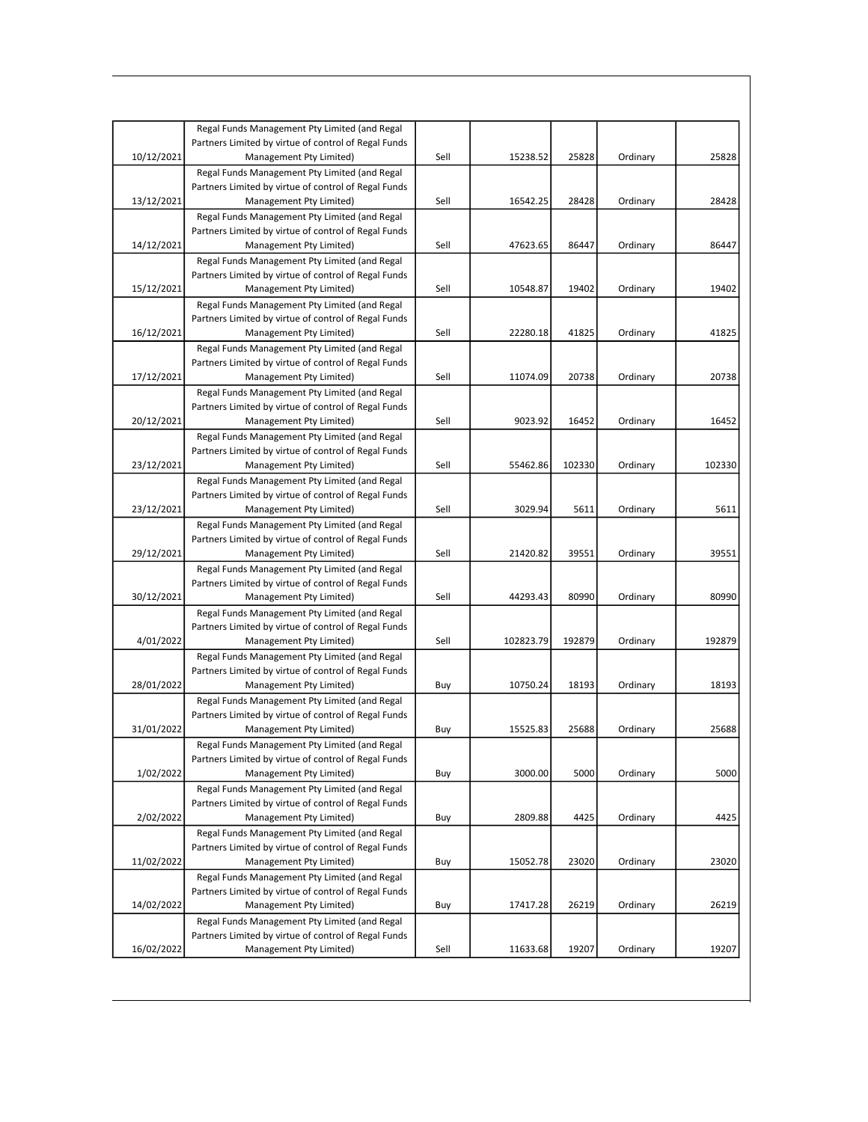| Regal Funds Management Pty Limited (and Regal<br>Partners Limited by virtue of control of Regal Funds<br>10/12/2021<br>Sell<br>15238.52<br>25828<br>25828<br>Management Pty Limited)<br>Ordinary<br>Regal Funds Management Pty Limited (and Regal<br>Partners Limited by virtue of control of Regal Funds<br>13/12/2021<br>Management Pty Limited)<br>Sell<br>16542.25<br>28428<br>Ordinary<br>28428<br>Regal Funds Management Pty Limited (and Regal<br>Partners Limited by virtue of control of Regal Funds<br>Sell<br>47623.65<br>86447<br>Ordinary<br>86447<br>14/12/2021<br>Management Pty Limited)<br>Regal Funds Management Pty Limited (and Regal<br>Partners Limited by virtue of control of Regal Funds<br>19402<br>15/12/2021<br>Sell<br>10548.87<br>19402<br>Ordinary<br>Management Pty Limited)<br>Regal Funds Management Pty Limited (and Regal<br>Partners Limited by virtue of control of Regal Funds<br>16/12/2021<br>Management Pty Limited)<br>Sell<br>41825<br>Ordinary<br>41825<br>22280.18<br>Regal Funds Management Pty Limited (and Regal<br>Partners Limited by virtue of control of Regal Funds<br>20738<br>17/12/2021<br>Sell<br>11074.09<br>20738<br>Management Pty Limited)<br>Ordinary<br>Regal Funds Management Pty Limited (and Regal<br>Partners Limited by virtue of control of Regal Funds<br>20/12/2021<br>Sell<br>9023.92<br>16452<br>16452<br>Management Pty Limited)<br>Ordinary<br>Regal Funds Management Pty Limited (and Regal<br>Partners Limited by virtue of control of Regal Funds<br>Sell<br>55462.86<br>102330<br>Ordinary<br>102330<br>23/12/2021<br>Management Pty Limited)<br>Regal Funds Management Pty Limited (and Regal<br>Partners Limited by virtue of control of Regal Funds<br>23/12/2021<br>Sell<br>3029.94<br>5611<br>Ordinary<br>5611<br>Management Pty Limited)<br>Regal Funds Management Pty Limited (and Regal<br>Partners Limited by virtue of control of Regal Funds<br>39551<br>29/12/2021<br>Sell<br>39551<br>Management Pty Limited)<br>21420.82<br>Ordinary<br>Regal Funds Management Pty Limited (and Regal<br>Partners Limited by virtue of control of Regal Funds<br>Sell<br>80990<br>30/12/2021<br>44293.43<br>80990<br>Management Pty Limited)<br>Ordinary<br>Regal Funds Management Pty Limited (and Regal<br>Partners Limited by virtue of control of Regal Funds<br>4/01/2022<br>Sell<br>102823.79<br>192879<br>Ordinary<br>192879<br>Management Pty Limited)<br>Regal Funds Management Pty Limited (and Regal<br>Partners Limited by virtue of control of Regal Funds<br>28/01/2022<br>10750.24<br>18193<br>18193<br>Management Pty Limited)<br>Buy<br>Ordinary<br>Regal Funds Management Pty Limited (and Regal<br>Partners Limited by virtue of control of Regal Funds<br>15525.83<br>25688<br>25688<br>31/01/2022<br>Ordinary<br>Management Pty Limited)<br>Buy<br>Regal Funds Management Pty Limited (and Regal<br>Partners Limited by virtue of control of Regal Funds<br>1/02/2022<br>3000.00<br>5000<br>Ordinary<br>5000<br>Management Pty Limited)<br>Buy<br>Regal Funds Management Pty Limited (and Regal<br>Partners Limited by virtue of control of Regal Funds<br>2/02/2022<br>Management Pty Limited)<br>2809.88<br>4425<br>Ordinary<br>4425<br>Buy<br>Regal Funds Management Pty Limited (and Regal<br>Partners Limited by virtue of control of Regal Funds<br>11/02/2022<br>15052.78<br>23020<br>Management Pty Limited)<br>23020<br>Ordinary<br>Buy<br>Regal Funds Management Pty Limited (and Regal<br>Partners Limited by virtue of control of Regal Funds<br>14/02/2022<br>Management Pty Limited)<br>17417.28<br>26219<br>Ordinary<br>26219<br>Buy<br>Regal Funds Management Pty Limited (and Regal<br>Partners Limited by virtue of control of Regal Funds |  |  |  |  |
|-----------------------------------------------------------------------------------------------------------------------------------------------------------------------------------------------------------------------------------------------------------------------------------------------------------------------------------------------------------------------------------------------------------------------------------------------------------------------------------------------------------------------------------------------------------------------------------------------------------------------------------------------------------------------------------------------------------------------------------------------------------------------------------------------------------------------------------------------------------------------------------------------------------------------------------------------------------------------------------------------------------------------------------------------------------------------------------------------------------------------------------------------------------------------------------------------------------------------------------------------------------------------------------------------------------------------------------------------------------------------------------------------------------------------------------------------------------------------------------------------------------------------------------------------------------------------------------------------------------------------------------------------------------------------------------------------------------------------------------------------------------------------------------------------------------------------------------------------------------------------------------------------------------------------------------------------------------------------------------------------------------------------------------------------------------------------------------------------------------------------------------------------------------------------------------------------------------------------------------------------------------------------------------------------------------------------------------------------------------------------------------------------------------------------------------------------------------------------------------------------------------------------------------------------------------------------------------------------------------------------------------------------------------------------------------------------------------------------------------------------------------------------------------------------------------------------------------------------------------------------------------------------------------------------------------------------------------------------------------------------------------------------------------------------------------------------------------------------------------------------------------------------------------------------------------------------------------------------------------------------------------------------------------------------------------------------------------------------------------------------------------------------------------------------------------------------------------------------------------------------------------------------------------------------------------------------------------------------------------------------------------------------------------------------------------------------------------------------------------------------------------------|--|--|--|--|
|                                                                                                                                                                                                                                                                                                                                                                                                                                                                                                                                                                                                                                                                                                                                                                                                                                                                                                                                                                                                                                                                                                                                                                                                                                                                                                                                                                                                                                                                                                                                                                                                                                                                                                                                                                                                                                                                                                                                                                                                                                                                                                                                                                                                                                                                                                                                                                                                                                                                                                                                                                                                                                                                                                                                                                                                                                                                                                                                                                                                                                                                                                                                                                                                                                                                                                                                                                                                                                                                                                                                                                                                                                                                                                                                                                 |  |  |  |  |
|                                                                                                                                                                                                                                                                                                                                                                                                                                                                                                                                                                                                                                                                                                                                                                                                                                                                                                                                                                                                                                                                                                                                                                                                                                                                                                                                                                                                                                                                                                                                                                                                                                                                                                                                                                                                                                                                                                                                                                                                                                                                                                                                                                                                                                                                                                                                                                                                                                                                                                                                                                                                                                                                                                                                                                                                                                                                                                                                                                                                                                                                                                                                                                                                                                                                                                                                                                                                                                                                                                                                                                                                                                                                                                                                                                 |  |  |  |  |
|                                                                                                                                                                                                                                                                                                                                                                                                                                                                                                                                                                                                                                                                                                                                                                                                                                                                                                                                                                                                                                                                                                                                                                                                                                                                                                                                                                                                                                                                                                                                                                                                                                                                                                                                                                                                                                                                                                                                                                                                                                                                                                                                                                                                                                                                                                                                                                                                                                                                                                                                                                                                                                                                                                                                                                                                                                                                                                                                                                                                                                                                                                                                                                                                                                                                                                                                                                                                                                                                                                                                                                                                                                                                                                                                                                 |  |  |  |  |
|                                                                                                                                                                                                                                                                                                                                                                                                                                                                                                                                                                                                                                                                                                                                                                                                                                                                                                                                                                                                                                                                                                                                                                                                                                                                                                                                                                                                                                                                                                                                                                                                                                                                                                                                                                                                                                                                                                                                                                                                                                                                                                                                                                                                                                                                                                                                                                                                                                                                                                                                                                                                                                                                                                                                                                                                                                                                                                                                                                                                                                                                                                                                                                                                                                                                                                                                                                                                                                                                                                                                                                                                                                                                                                                                                                 |  |  |  |  |
|                                                                                                                                                                                                                                                                                                                                                                                                                                                                                                                                                                                                                                                                                                                                                                                                                                                                                                                                                                                                                                                                                                                                                                                                                                                                                                                                                                                                                                                                                                                                                                                                                                                                                                                                                                                                                                                                                                                                                                                                                                                                                                                                                                                                                                                                                                                                                                                                                                                                                                                                                                                                                                                                                                                                                                                                                                                                                                                                                                                                                                                                                                                                                                                                                                                                                                                                                                                                                                                                                                                                                                                                                                                                                                                                                                 |  |  |  |  |
|                                                                                                                                                                                                                                                                                                                                                                                                                                                                                                                                                                                                                                                                                                                                                                                                                                                                                                                                                                                                                                                                                                                                                                                                                                                                                                                                                                                                                                                                                                                                                                                                                                                                                                                                                                                                                                                                                                                                                                                                                                                                                                                                                                                                                                                                                                                                                                                                                                                                                                                                                                                                                                                                                                                                                                                                                                                                                                                                                                                                                                                                                                                                                                                                                                                                                                                                                                                                                                                                                                                                                                                                                                                                                                                                                                 |  |  |  |  |
|                                                                                                                                                                                                                                                                                                                                                                                                                                                                                                                                                                                                                                                                                                                                                                                                                                                                                                                                                                                                                                                                                                                                                                                                                                                                                                                                                                                                                                                                                                                                                                                                                                                                                                                                                                                                                                                                                                                                                                                                                                                                                                                                                                                                                                                                                                                                                                                                                                                                                                                                                                                                                                                                                                                                                                                                                                                                                                                                                                                                                                                                                                                                                                                                                                                                                                                                                                                                                                                                                                                                                                                                                                                                                                                                                                 |  |  |  |  |
|                                                                                                                                                                                                                                                                                                                                                                                                                                                                                                                                                                                                                                                                                                                                                                                                                                                                                                                                                                                                                                                                                                                                                                                                                                                                                                                                                                                                                                                                                                                                                                                                                                                                                                                                                                                                                                                                                                                                                                                                                                                                                                                                                                                                                                                                                                                                                                                                                                                                                                                                                                                                                                                                                                                                                                                                                                                                                                                                                                                                                                                                                                                                                                                                                                                                                                                                                                                                                                                                                                                                                                                                                                                                                                                                                                 |  |  |  |  |
|                                                                                                                                                                                                                                                                                                                                                                                                                                                                                                                                                                                                                                                                                                                                                                                                                                                                                                                                                                                                                                                                                                                                                                                                                                                                                                                                                                                                                                                                                                                                                                                                                                                                                                                                                                                                                                                                                                                                                                                                                                                                                                                                                                                                                                                                                                                                                                                                                                                                                                                                                                                                                                                                                                                                                                                                                                                                                                                                                                                                                                                                                                                                                                                                                                                                                                                                                                                                                                                                                                                                                                                                                                                                                                                                                                 |  |  |  |  |
|                                                                                                                                                                                                                                                                                                                                                                                                                                                                                                                                                                                                                                                                                                                                                                                                                                                                                                                                                                                                                                                                                                                                                                                                                                                                                                                                                                                                                                                                                                                                                                                                                                                                                                                                                                                                                                                                                                                                                                                                                                                                                                                                                                                                                                                                                                                                                                                                                                                                                                                                                                                                                                                                                                                                                                                                                                                                                                                                                                                                                                                                                                                                                                                                                                                                                                                                                                                                                                                                                                                                                                                                                                                                                                                                                                 |  |  |  |  |
|                                                                                                                                                                                                                                                                                                                                                                                                                                                                                                                                                                                                                                                                                                                                                                                                                                                                                                                                                                                                                                                                                                                                                                                                                                                                                                                                                                                                                                                                                                                                                                                                                                                                                                                                                                                                                                                                                                                                                                                                                                                                                                                                                                                                                                                                                                                                                                                                                                                                                                                                                                                                                                                                                                                                                                                                                                                                                                                                                                                                                                                                                                                                                                                                                                                                                                                                                                                                                                                                                                                                                                                                                                                                                                                                                                 |  |  |  |  |
|                                                                                                                                                                                                                                                                                                                                                                                                                                                                                                                                                                                                                                                                                                                                                                                                                                                                                                                                                                                                                                                                                                                                                                                                                                                                                                                                                                                                                                                                                                                                                                                                                                                                                                                                                                                                                                                                                                                                                                                                                                                                                                                                                                                                                                                                                                                                                                                                                                                                                                                                                                                                                                                                                                                                                                                                                                                                                                                                                                                                                                                                                                                                                                                                                                                                                                                                                                                                                                                                                                                                                                                                                                                                                                                                                                 |  |  |  |  |
|                                                                                                                                                                                                                                                                                                                                                                                                                                                                                                                                                                                                                                                                                                                                                                                                                                                                                                                                                                                                                                                                                                                                                                                                                                                                                                                                                                                                                                                                                                                                                                                                                                                                                                                                                                                                                                                                                                                                                                                                                                                                                                                                                                                                                                                                                                                                                                                                                                                                                                                                                                                                                                                                                                                                                                                                                                                                                                                                                                                                                                                                                                                                                                                                                                                                                                                                                                                                                                                                                                                                                                                                                                                                                                                                                                 |  |  |  |  |
|                                                                                                                                                                                                                                                                                                                                                                                                                                                                                                                                                                                                                                                                                                                                                                                                                                                                                                                                                                                                                                                                                                                                                                                                                                                                                                                                                                                                                                                                                                                                                                                                                                                                                                                                                                                                                                                                                                                                                                                                                                                                                                                                                                                                                                                                                                                                                                                                                                                                                                                                                                                                                                                                                                                                                                                                                                                                                                                                                                                                                                                                                                                                                                                                                                                                                                                                                                                                                                                                                                                                                                                                                                                                                                                                                                 |  |  |  |  |
|                                                                                                                                                                                                                                                                                                                                                                                                                                                                                                                                                                                                                                                                                                                                                                                                                                                                                                                                                                                                                                                                                                                                                                                                                                                                                                                                                                                                                                                                                                                                                                                                                                                                                                                                                                                                                                                                                                                                                                                                                                                                                                                                                                                                                                                                                                                                                                                                                                                                                                                                                                                                                                                                                                                                                                                                                                                                                                                                                                                                                                                                                                                                                                                                                                                                                                                                                                                                                                                                                                                                                                                                                                                                                                                                                                 |  |  |  |  |
|                                                                                                                                                                                                                                                                                                                                                                                                                                                                                                                                                                                                                                                                                                                                                                                                                                                                                                                                                                                                                                                                                                                                                                                                                                                                                                                                                                                                                                                                                                                                                                                                                                                                                                                                                                                                                                                                                                                                                                                                                                                                                                                                                                                                                                                                                                                                                                                                                                                                                                                                                                                                                                                                                                                                                                                                                                                                                                                                                                                                                                                                                                                                                                                                                                                                                                                                                                                                                                                                                                                                                                                                                                                                                                                                                                 |  |  |  |  |
|                                                                                                                                                                                                                                                                                                                                                                                                                                                                                                                                                                                                                                                                                                                                                                                                                                                                                                                                                                                                                                                                                                                                                                                                                                                                                                                                                                                                                                                                                                                                                                                                                                                                                                                                                                                                                                                                                                                                                                                                                                                                                                                                                                                                                                                                                                                                                                                                                                                                                                                                                                                                                                                                                                                                                                                                                                                                                                                                                                                                                                                                                                                                                                                                                                                                                                                                                                                                                                                                                                                                                                                                                                                                                                                                                                 |  |  |  |  |
|                                                                                                                                                                                                                                                                                                                                                                                                                                                                                                                                                                                                                                                                                                                                                                                                                                                                                                                                                                                                                                                                                                                                                                                                                                                                                                                                                                                                                                                                                                                                                                                                                                                                                                                                                                                                                                                                                                                                                                                                                                                                                                                                                                                                                                                                                                                                                                                                                                                                                                                                                                                                                                                                                                                                                                                                                                                                                                                                                                                                                                                                                                                                                                                                                                                                                                                                                                                                                                                                                                                                                                                                                                                                                                                                                                 |  |  |  |  |
|                                                                                                                                                                                                                                                                                                                                                                                                                                                                                                                                                                                                                                                                                                                                                                                                                                                                                                                                                                                                                                                                                                                                                                                                                                                                                                                                                                                                                                                                                                                                                                                                                                                                                                                                                                                                                                                                                                                                                                                                                                                                                                                                                                                                                                                                                                                                                                                                                                                                                                                                                                                                                                                                                                                                                                                                                                                                                                                                                                                                                                                                                                                                                                                                                                                                                                                                                                                                                                                                                                                                                                                                                                                                                                                                                                 |  |  |  |  |
|                                                                                                                                                                                                                                                                                                                                                                                                                                                                                                                                                                                                                                                                                                                                                                                                                                                                                                                                                                                                                                                                                                                                                                                                                                                                                                                                                                                                                                                                                                                                                                                                                                                                                                                                                                                                                                                                                                                                                                                                                                                                                                                                                                                                                                                                                                                                                                                                                                                                                                                                                                                                                                                                                                                                                                                                                                                                                                                                                                                                                                                                                                                                                                                                                                                                                                                                                                                                                                                                                                                                                                                                                                                                                                                                                                 |  |  |  |  |
|                                                                                                                                                                                                                                                                                                                                                                                                                                                                                                                                                                                                                                                                                                                                                                                                                                                                                                                                                                                                                                                                                                                                                                                                                                                                                                                                                                                                                                                                                                                                                                                                                                                                                                                                                                                                                                                                                                                                                                                                                                                                                                                                                                                                                                                                                                                                                                                                                                                                                                                                                                                                                                                                                                                                                                                                                                                                                                                                                                                                                                                                                                                                                                                                                                                                                                                                                                                                                                                                                                                                                                                                                                                                                                                                                                 |  |  |  |  |
|                                                                                                                                                                                                                                                                                                                                                                                                                                                                                                                                                                                                                                                                                                                                                                                                                                                                                                                                                                                                                                                                                                                                                                                                                                                                                                                                                                                                                                                                                                                                                                                                                                                                                                                                                                                                                                                                                                                                                                                                                                                                                                                                                                                                                                                                                                                                                                                                                                                                                                                                                                                                                                                                                                                                                                                                                                                                                                                                                                                                                                                                                                                                                                                                                                                                                                                                                                                                                                                                                                                                                                                                                                                                                                                                                                 |  |  |  |  |
|                                                                                                                                                                                                                                                                                                                                                                                                                                                                                                                                                                                                                                                                                                                                                                                                                                                                                                                                                                                                                                                                                                                                                                                                                                                                                                                                                                                                                                                                                                                                                                                                                                                                                                                                                                                                                                                                                                                                                                                                                                                                                                                                                                                                                                                                                                                                                                                                                                                                                                                                                                                                                                                                                                                                                                                                                                                                                                                                                                                                                                                                                                                                                                                                                                                                                                                                                                                                                                                                                                                                                                                                                                                                                                                                                                 |  |  |  |  |
|                                                                                                                                                                                                                                                                                                                                                                                                                                                                                                                                                                                                                                                                                                                                                                                                                                                                                                                                                                                                                                                                                                                                                                                                                                                                                                                                                                                                                                                                                                                                                                                                                                                                                                                                                                                                                                                                                                                                                                                                                                                                                                                                                                                                                                                                                                                                                                                                                                                                                                                                                                                                                                                                                                                                                                                                                                                                                                                                                                                                                                                                                                                                                                                                                                                                                                                                                                                                                                                                                                                                                                                                                                                                                                                                                                 |  |  |  |  |
|                                                                                                                                                                                                                                                                                                                                                                                                                                                                                                                                                                                                                                                                                                                                                                                                                                                                                                                                                                                                                                                                                                                                                                                                                                                                                                                                                                                                                                                                                                                                                                                                                                                                                                                                                                                                                                                                                                                                                                                                                                                                                                                                                                                                                                                                                                                                                                                                                                                                                                                                                                                                                                                                                                                                                                                                                                                                                                                                                                                                                                                                                                                                                                                                                                                                                                                                                                                                                                                                                                                                                                                                                                                                                                                                                                 |  |  |  |  |
|                                                                                                                                                                                                                                                                                                                                                                                                                                                                                                                                                                                                                                                                                                                                                                                                                                                                                                                                                                                                                                                                                                                                                                                                                                                                                                                                                                                                                                                                                                                                                                                                                                                                                                                                                                                                                                                                                                                                                                                                                                                                                                                                                                                                                                                                                                                                                                                                                                                                                                                                                                                                                                                                                                                                                                                                                                                                                                                                                                                                                                                                                                                                                                                                                                                                                                                                                                                                                                                                                                                                                                                                                                                                                                                                                                 |  |  |  |  |
|                                                                                                                                                                                                                                                                                                                                                                                                                                                                                                                                                                                                                                                                                                                                                                                                                                                                                                                                                                                                                                                                                                                                                                                                                                                                                                                                                                                                                                                                                                                                                                                                                                                                                                                                                                                                                                                                                                                                                                                                                                                                                                                                                                                                                                                                                                                                                                                                                                                                                                                                                                                                                                                                                                                                                                                                                                                                                                                                                                                                                                                                                                                                                                                                                                                                                                                                                                                                                                                                                                                                                                                                                                                                                                                                                                 |  |  |  |  |
|                                                                                                                                                                                                                                                                                                                                                                                                                                                                                                                                                                                                                                                                                                                                                                                                                                                                                                                                                                                                                                                                                                                                                                                                                                                                                                                                                                                                                                                                                                                                                                                                                                                                                                                                                                                                                                                                                                                                                                                                                                                                                                                                                                                                                                                                                                                                                                                                                                                                                                                                                                                                                                                                                                                                                                                                                                                                                                                                                                                                                                                                                                                                                                                                                                                                                                                                                                                                                                                                                                                                                                                                                                                                                                                                                                 |  |  |  |  |
|                                                                                                                                                                                                                                                                                                                                                                                                                                                                                                                                                                                                                                                                                                                                                                                                                                                                                                                                                                                                                                                                                                                                                                                                                                                                                                                                                                                                                                                                                                                                                                                                                                                                                                                                                                                                                                                                                                                                                                                                                                                                                                                                                                                                                                                                                                                                                                                                                                                                                                                                                                                                                                                                                                                                                                                                                                                                                                                                                                                                                                                                                                                                                                                                                                                                                                                                                                                                                                                                                                                                                                                                                                                                                                                                                                 |  |  |  |  |
|                                                                                                                                                                                                                                                                                                                                                                                                                                                                                                                                                                                                                                                                                                                                                                                                                                                                                                                                                                                                                                                                                                                                                                                                                                                                                                                                                                                                                                                                                                                                                                                                                                                                                                                                                                                                                                                                                                                                                                                                                                                                                                                                                                                                                                                                                                                                                                                                                                                                                                                                                                                                                                                                                                                                                                                                                                                                                                                                                                                                                                                                                                                                                                                                                                                                                                                                                                                                                                                                                                                                                                                                                                                                                                                                                                 |  |  |  |  |
|                                                                                                                                                                                                                                                                                                                                                                                                                                                                                                                                                                                                                                                                                                                                                                                                                                                                                                                                                                                                                                                                                                                                                                                                                                                                                                                                                                                                                                                                                                                                                                                                                                                                                                                                                                                                                                                                                                                                                                                                                                                                                                                                                                                                                                                                                                                                                                                                                                                                                                                                                                                                                                                                                                                                                                                                                                                                                                                                                                                                                                                                                                                                                                                                                                                                                                                                                                                                                                                                                                                                                                                                                                                                                                                                                                 |  |  |  |  |
|                                                                                                                                                                                                                                                                                                                                                                                                                                                                                                                                                                                                                                                                                                                                                                                                                                                                                                                                                                                                                                                                                                                                                                                                                                                                                                                                                                                                                                                                                                                                                                                                                                                                                                                                                                                                                                                                                                                                                                                                                                                                                                                                                                                                                                                                                                                                                                                                                                                                                                                                                                                                                                                                                                                                                                                                                                                                                                                                                                                                                                                                                                                                                                                                                                                                                                                                                                                                                                                                                                                                                                                                                                                                                                                                                                 |  |  |  |  |
|                                                                                                                                                                                                                                                                                                                                                                                                                                                                                                                                                                                                                                                                                                                                                                                                                                                                                                                                                                                                                                                                                                                                                                                                                                                                                                                                                                                                                                                                                                                                                                                                                                                                                                                                                                                                                                                                                                                                                                                                                                                                                                                                                                                                                                                                                                                                                                                                                                                                                                                                                                                                                                                                                                                                                                                                                                                                                                                                                                                                                                                                                                                                                                                                                                                                                                                                                                                                                                                                                                                                                                                                                                                                                                                                                                 |  |  |  |  |
|                                                                                                                                                                                                                                                                                                                                                                                                                                                                                                                                                                                                                                                                                                                                                                                                                                                                                                                                                                                                                                                                                                                                                                                                                                                                                                                                                                                                                                                                                                                                                                                                                                                                                                                                                                                                                                                                                                                                                                                                                                                                                                                                                                                                                                                                                                                                                                                                                                                                                                                                                                                                                                                                                                                                                                                                                                                                                                                                                                                                                                                                                                                                                                                                                                                                                                                                                                                                                                                                                                                                                                                                                                                                                                                                                                 |  |  |  |  |
|                                                                                                                                                                                                                                                                                                                                                                                                                                                                                                                                                                                                                                                                                                                                                                                                                                                                                                                                                                                                                                                                                                                                                                                                                                                                                                                                                                                                                                                                                                                                                                                                                                                                                                                                                                                                                                                                                                                                                                                                                                                                                                                                                                                                                                                                                                                                                                                                                                                                                                                                                                                                                                                                                                                                                                                                                                                                                                                                                                                                                                                                                                                                                                                                                                                                                                                                                                                                                                                                                                                                                                                                                                                                                                                                                                 |  |  |  |  |
|                                                                                                                                                                                                                                                                                                                                                                                                                                                                                                                                                                                                                                                                                                                                                                                                                                                                                                                                                                                                                                                                                                                                                                                                                                                                                                                                                                                                                                                                                                                                                                                                                                                                                                                                                                                                                                                                                                                                                                                                                                                                                                                                                                                                                                                                                                                                                                                                                                                                                                                                                                                                                                                                                                                                                                                                                                                                                                                                                                                                                                                                                                                                                                                                                                                                                                                                                                                                                                                                                                                                                                                                                                                                                                                                                                 |  |  |  |  |
|                                                                                                                                                                                                                                                                                                                                                                                                                                                                                                                                                                                                                                                                                                                                                                                                                                                                                                                                                                                                                                                                                                                                                                                                                                                                                                                                                                                                                                                                                                                                                                                                                                                                                                                                                                                                                                                                                                                                                                                                                                                                                                                                                                                                                                                                                                                                                                                                                                                                                                                                                                                                                                                                                                                                                                                                                                                                                                                                                                                                                                                                                                                                                                                                                                                                                                                                                                                                                                                                                                                                                                                                                                                                                                                                                                 |  |  |  |  |
|                                                                                                                                                                                                                                                                                                                                                                                                                                                                                                                                                                                                                                                                                                                                                                                                                                                                                                                                                                                                                                                                                                                                                                                                                                                                                                                                                                                                                                                                                                                                                                                                                                                                                                                                                                                                                                                                                                                                                                                                                                                                                                                                                                                                                                                                                                                                                                                                                                                                                                                                                                                                                                                                                                                                                                                                                                                                                                                                                                                                                                                                                                                                                                                                                                                                                                                                                                                                                                                                                                                                                                                                                                                                                                                                                                 |  |  |  |  |
|                                                                                                                                                                                                                                                                                                                                                                                                                                                                                                                                                                                                                                                                                                                                                                                                                                                                                                                                                                                                                                                                                                                                                                                                                                                                                                                                                                                                                                                                                                                                                                                                                                                                                                                                                                                                                                                                                                                                                                                                                                                                                                                                                                                                                                                                                                                                                                                                                                                                                                                                                                                                                                                                                                                                                                                                                                                                                                                                                                                                                                                                                                                                                                                                                                                                                                                                                                                                                                                                                                                                                                                                                                                                                                                                                                 |  |  |  |  |
|                                                                                                                                                                                                                                                                                                                                                                                                                                                                                                                                                                                                                                                                                                                                                                                                                                                                                                                                                                                                                                                                                                                                                                                                                                                                                                                                                                                                                                                                                                                                                                                                                                                                                                                                                                                                                                                                                                                                                                                                                                                                                                                                                                                                                                                                                                                                                                                                                                                                                                                                                                                                                                                                                                                                                                                                                                                                                                                                                                                                                                                                                                                                                                                                                                                                                                                                                                                                                                                                                                                                                                                                                                                                                                                                                                 |  |  |  |  |
|                                                                                                                                                                                                                                                                                                                                                                                                                                                                                                                                                                                                                                                                                                                                                                                                                                                                                                                                                                                                                                                                                                                                                                                                                                                                                                                                                                                                                                                                                                                                                                                                                                                                                                                                                                                                                                                                                                                                                                                                                                                                                                                                                                                                                                                                                                                                                                                                                                                                                                                                                                                                                                                                                                                                                                                                                                                                                                                                                                                                                                                                                                                                                                                                                                                                                                                                                                                                                                                                                                                                                                                                                                                                                                                                                                 |  |  |  |  |
|                                                                                                                                                                                                                                                                                                                                                                                                                                                                                                                                                                                                                                                                                                                                                                                                                                                                                                                                                                                                                                                                                                                                                                                                                                                                                                                                                                                                                                                                                                                                                                                                                                                                                                                                                                                                                                                                                                                                                                                                                                                                                                                                                                                                                                                                                                                                                                                                                                                                                                                                                                                                                                                                                                                                                                                                                                                                                                                                                                                                                                                                                                                                                                                                                                                                                                                                                                                                                                                                                                                                                                                                                                                                                                                                                                 |  |  |  |  |
|                                                                                                                                                                                                                                                                                                                                                                                                                                                                                                                                                                                                                                                                                                                                                                                                                                                                                                                                                                                                                                                                                                                                                                                                                                                                                                                                                                                                                                                                                                                                                                                                                                                                                                                                                                                                                                                                                                                                                                                                                                                                                                                                                                                                                                                                                                                                                                                                                                                                                                                                                                                                                                                                                                                                                                                                                                                                                                                                                                                                                                                                                                                                                                                                                                                                                                                                                                                                                                                                                                                                                                                                                                                                                                                                                                 |  |  |  |  |
|                                                                                                                                                                                                                                                                                                                                                                                                                                                                                                                                                                                                                                                                                                                                                                                                                                                                                                                                                                                                                                                                                                                                                                                                                                                                                                                                                                                                                                                                                                                                                                                                                                                                                                                                                                                                                                                                                                                                                                                                                                                                                                                                                                                                                                                                                                                                                                                                                                                                                                                                                                                                                                                                                                                                                                                                                                                                                                                                                                                                                                                                                                                                                                                                                                                                                                                                                                                                                                                                                                                                                                                                                                                                                                                                                                 |  |  |  |  |
|                                                                                                                                                                                                                                                                                                                                                                                                                                                                                                                                                                                                                                                                                                                                                                                                                                                                                                                                                                                                                                                                                                                                                                                                                                                                                                                                                                                                                                                                                                                                                                                                                                                                                                                                                                                                                                                                                                                                                                                                                                                                                                                                                                                                                                                                                                                                                                                                                                                                                                                                                                                                                                                                                                                                                                                                                                                                                                                                                                                                                                                                                                                                                                                                                                                                                                                                                                                                                                                                                                                                                                                                                                                                                                                                                                 |  |  |  |  |
|                                                                                                                                                                                                                                                                                                                                                                                                                                                                                                                                                                                                                                                                                                                                                                                                                                                                                                                                                                                                                                                                                                                                                                                                                                                                                                                                                                                                                                                                                                                                                                                                                                                                                                                                                                                                                                                                                                                                                                                                                                                                                                                                                                                                                                                                                                                                                                                                                                                                                                                                                                                                                                                                                                                                                                                                                                                                                                                                                                                                                                                                                                                                                                                                                                                                                                                                                                                                                                                                                                                                                                                                                                                                                                                                                                 |  |  |  |  |
|                                                                                                                                                                                                                                                                                                                                                                                                                                                                                                                                                                                                                                                                                                                                                                                                                                                                                                                                                                                                                                                                                                                                                                                                                                                                                                                                                                                                                                                                                                                                                                                                                                                                                                                                                                                                                                                                                                                                                                                                                                                                                                                                                                                                                                                                                                                                                                                                                                                                                                                                                                                                                                                                                                                                                                                                                                                                                                                                                                                                                                                                                                                                                                                                                                                                                                                                                                                                                                                                                                                                                                                                                                                                                                                                                                 |  |  |  |  |
|                                                                                                                                                                                                                                                                                                                                                                                                                                                                                                                                                                                                                                                                                                                                                                                                                                                                                                                                                                                                                                                                                                                                                                                                                                                                                                                                                                                                                                                                                                                                                                                                                                                                                                                                                                                                                                                                                                                                                                                                                                                                                                                                                                                                                                                                                                                                                                                                                                                                                                                                                                                                                                                                                                                                                                                                                                                                                                                                                                                                                                                                                                                                                                                                                                                                                                                                                                                                                                                                                                                                                                                                                                                                                                                                                                 |  |  |  |  |
|                                                                                                                                                                                                                                                                                                                                                                                                                                                                                                                                                                                                                                                                                                                                                                                                                                                                                                                                                                                                                                                                                                                                                                                                                                                                                                                                                                                                                                                                                                                                                                                                                                                                                                                                                                                                                                                                                                                                                                                                                                                                                                                                                                                                                                                                                                                                                                                                                                                                                                                                                                                                                                                                                                                                                                                                                                                                                                                                                                                                                                                                                                                                                                                                                                                                                                                                                                                                                                                                                                                                                                                                                                                                                                                                                                 |  |  |  |  |
|                                                                                                                                                                                                                                                                                                                                                                                                                                                                                                                                                                                                                                                                                                                                                                                                                                                                                                                                                                                                                                                                                                                                                                                                                                                                                                                                                                                                                                                                                                                                                                                                                                                                                                                                                                                                                                                                                                                                                                                                                                                                                                                                                                                                                                                                                                                                                                                                                                                                                                                                                                                                                                                                                                                                                                                                                                                                                                                                                                                                                                                                                                                                                                                                                                                                                                                                                                                                                                                                                                                                                                                                                                                                                                                                                                 |  |  |  |  |
|                                                                                                                                                                                                                                                                                                                                                                                                                                                                                                                                                                                                                                                                                                                                                                                                                                                                                                                                                                                                                                                                                                                                                                                                                                                                                                                                                                                                                                                                                                                                                                                                                                                                                                                                                                                                                                                                                                                                                                                                                                                                                                                                                                                                                                                                                                                                                                                                                                                                                                                                                                                                                                                                                                                                                                                                                                                                                                                                                                                                                                                                                                                                                                                                                                                                                                                                                                                                                                                                                                                                                                                                                                                                                                                                                                 |  |  |  |  |
|                                                                                                                                                                                                                                                                                                                                                                                                                                                                                                                                                                                                                                                                                                                                                                                                                                                                                                                                                                                                                                                                                                                                                                                                                                                                                                                                                                                                                                                                                                                                                                                                                                                                                                                                                                                                                                                                                                                                                                                                                                                                                                                                                                                                                                                                                                                                                                                                                                                                                                                                                                                                                                                                                                                                                                                                                                                                                                                                                                                                                                                                                                                                                                                                                                                                                                                                                                                                                                                                                                                                                                                                                                                                                                                                                                 |  |  |  |  |
|                                                                                                                                                                                                                                                                                                                                                                                                                                                                                                                                                                                                                                                                                                                                                                                                                                                                                                                                                                                                                                                                                                                                                                                                                                                                                                                                                                                                                                                                                                                                                                                                                                                                                                                                                                                                                                                                                                                                                                                                                                                                                                                                                                                                                                                                                                                                                                                                                                                                                                                                                                                                                                                                                                                                                                                                                                                                                                                                                                                                                                                                                                                                                                                                                                                                                                                                                                                                                                                                                                                                                                                                                                                                                                                                                                 |  |  |  |  |
|                                                                                                                                                                                                                                                                                                                                                                                                                                                                                                                                                                                                                                                                                                                                                                                                                                                                                                                                                                                                                                                                                                                                                                                                                                                                                                                                                                                                                                                                                                                                                                                                                                                                                                                                                                                                                                                                                                                                                                                                                                                                                                                                                                                                                                                                                                                                                                                                                                                                                                                                                                                                                                                                                                                                                                                                                                                                                                                                                                                                                                                                                                                                                                                                                                                                                                                                                                                                                                                                                                                                                                                                                                                                                                                                                                 |  |  |  |  |
|                                                                                                                                                                                                                                                                                                                                                                                                                                                                                                                                                                                                                                                                                                                                                                                                                                                                                                                                                                                                                                                                                                                                                                                                                                                                                                                                                                                                                                                                                                                                                                                                                                                                                                                                                                                                                                                                                                                                                                                                                                                                                                                                                                                                                                                                                                                                                                                                                                                                                                                                                                                                                                                                                                                                                                                                                                                                                                                                                                                                                                                                                                                                                                                                                                                                                                                                                                                                                                                                                                                                                                                                                                                                                                                                                                 |  |  |  |  |
|                                                                                                                                                                                                                                                                                                                                                                                                                                                                                                                                                                                                                                                                                                                                                                                                                                                                                                                                                                                                                                                                                                                                                                                                                                                                                                                                                                                                                                                                                                                                                                                                                                                                                                                                                                                                                                                                                                                                                                                                                                                                                                                                                                                                                                                                                                                                                                                                                                                                                                                                                                                                                                                                                                                                                                                                                                                                                                                                                                                                                                                                                                                                                                                                                                                                                                                                                                                                                                                                                                                                                                                                                                                                                                                                                                 |  |  |  |  |
|                                                                                                                                                                                                                                                                                                                                                                                                                                                                                                                                                                                                                                                                                                                                                                                                                                                                                                                                                                                                                                                                                                                                                                                                                                                                                                                                                                                                                                                                                                                                                                                                                                                                                                                                                                                                                                                                                                                                                                                                                                                                                                                                                                                                                                                                                                                                                                                                                                                                                                                                                                                                                                                                                                                                                                                                                                                                                                                                                                                                                                                                                                                                                                                                                                                                                                                                                                                                                                                                                                                                                                                                                                                                                                                                                                 |  |  |  |  |
| Management Pty Limited)<br>16/02/2022<br>Sell<br>11633.68<br>19207<br>Ordinary<br>19207                                                                                                                                                                                                                                                                                                                                                                                                                                                                                                                                                                                                                                                                                                                                                                                                                                                                                                                                                                                                                                                                                                                                                                                                                                                                                                                                                                                                                                                                                                                                                                                                                                                                                                                                                                                                                                                                                                                                                                                                                                                                                                                                                                                                                                                                                                                                                                                                                                                                                                                                                                                                                                                                                                                                                                                                                                                                                                                                                                                                                                                                                                                                                                                                                                                                                                                                                                                                                                                                                                                                                                                                                                                                         |  |  |  |  |